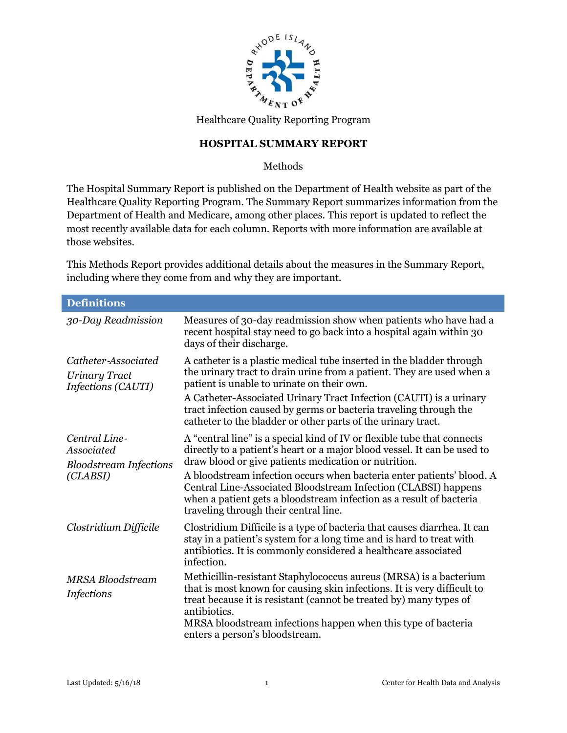

Healthcare Quality Reporting Program

## **HOSPITAL SUMMARY REPORT**

Methods

The Hospital Summary Report is published on the Department of Health website as part of the Healthcare Quality Reporting Program. The Summary Report summarizes information from the Department of Health and Medicare, among other places. This report is updated to reflect the most recently available data for each column. Reports with more information are available at those websites.

This Methods Report provides additional details about the measures in the Summary Report, including where they come from and why they are important.

| <b>Definitions</b>                                                       |                                                                                                                                                                                                                                                                                                                                                                                                                                                                        |
|--------------------------------------------------------------------------|------------------------------------------------------------------------------------------------------------------------------------------------------------------------------------------------------------------------------------------------------------------------------------------------------------------------------------------------------------------------------------------------------------------------------------------------------------------------|
| 30-Day Readmission                                                       | Measures of 30-day readmission show when patients who have had a<br>recent hospital stay need to go back into a hospital again within 30<br>days of their discharge.                                                                                                                                                                                                                                                                                                   |
| Catheter-Associated<br><b>Urinary Tract</b><br>Infections (CAUTI)        | A catheter is a plastic medical tube inserted in the bladder through<br>the urinary tract to drain urine from a patient. They are used when a<br>patient is unable to urinate on their own.<br>A Catheter-Associated Urinary Tract Infection (CAUTI) is a urinary<br>tract infection caused by germs or bacteria traveling through the<br>catheter to the bladder or other parts of the urinary tract.                                                                 |
| Central Line-<br>Associated<br><b>Bloodstream Infections</b><br>(CLABSI) | A "central line" is a special kind of IV or flexible tube that connects<br>directly to a patient's heart or a major blood vessel. It can be used to<br>draw blood or give patients medication or nutrition.<br>A bloodstream infection occurs when bacteria enter patients' blood. A<br>Central Line-Associated Bloodstream Infection (CLABSI) happens<br>when a patient gets a bloodstream infection as a result of bacteria<br>traveling through their central line. |
| Clostridium Difficile                                                    | Clostridium Difficile is a type of bacteria that causes diarrhea. It can<br>stay in a patient's system for a long time and is hard to treat with<br>antibiotics. It is commonly considered a healthcare associated<br>infection.                                                                                                                                                                                                                                       |
| <b>MRSA Bloodstream</b><br><b>Infections</b>                             | Methicillin-resistant Staphylococcus aureus (MRSA) is a bacterium<br>that is most known for causing skin infections. It is very difficult to<br>treat because it is resistant (cannot be treated by) many types of<br>antibiotics.<br>MRSA bloodstream infections happen when this type of bacteria<br>enters a person's bloodstream.                                                                                                                                  |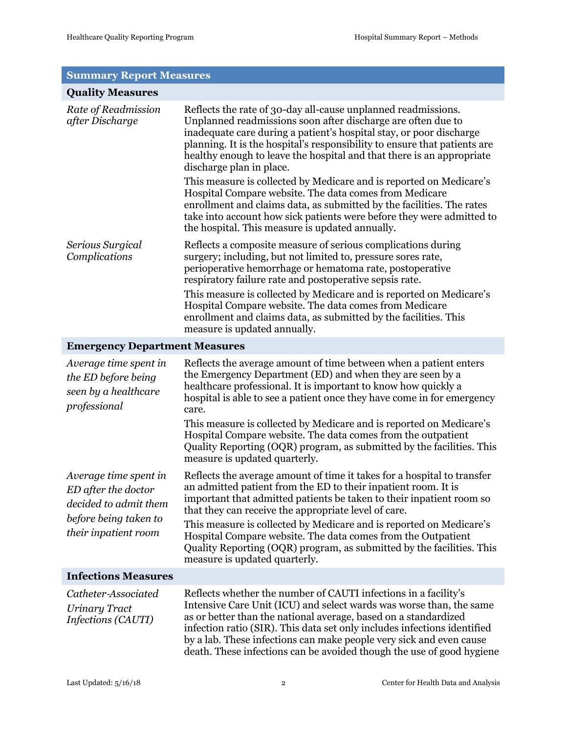#### **Summary Report Measures**

| <b>Quality Measures</b>                                                              |                                                                                                                                                                                                                                                                                                                                                                                                                                                                                                                                                                                                                                                                                                                              |  |
|--------------------------------------------------------------------------------------|------------------------------------------------------------------------------------------------------------------------------------------------------------------------------------------------------------------------------------------------------------------------------------------------------------------------------------------------------------------------------------------------------------------------------------------------------------------------------------------------------------------------------------------------------------------------------------------------------------------------------------------------------------------------------------------------------------------------------|--|
| Rate of Readmission<br>after Discharge                                               | Reflects the rate of 30-day all-cause unplanned readmissions.<br>Unplanned readmissions soon after discharge are often due to<br>inadequate care during a patient's hospital stay, or poor discharge<br>planning. It is the hospital's responsibility to ensure that patients are<br>healthy enough to leave the hospital and that there is an appropriate<br>discharge plan in place.<br>This measure is collected by Medicare and is reported on Medicare's<br>Hospital Compare website. The data comes from Medicare<br>enrollment and claims data, as submitted by the facilities. The rates<br>take into account how sick patients were before they were admitted to<br>the hospital. This measure is updated annually. |  |
| Serious Surgical<br>Complications                                                    | Reflects a composite measure of serious complications during<br>surgery; including, but not limited to, pressure sores rate,<br>perioperative hemorrhage or hematoma rate, postoperative<br>respiratory failure rate and postoperative sepsis rate.<br>This measure is collected by Medicare and is reported on Medicare's<br>Hospital Compare website. The data comes from Medicare<br>enrollment and claims data, as submitted by the facilities. This<br>measure is updated annually.                                                                                                                                                                                                                                     |  |
| <b>Emergency Department Measures</b>                                                 |                                                                                                                                                                                                                                                                                                                                                                                                                                                                                                                                                                                                                                                                                                                              |  |
| Average time spent in<br>the ED before being<br>seen by a healthcare<br>professional | Reflects the average amount of time between when a patient enters<br>the Emergency Department (ED) and when they are seen by a<br>healthcare professional. It is important to know how quickly a<br>hospital is able to see a patient once they have come in for emergency<br>care.<br>This measure is collected by Medicare and is reported on Medicare's<br>Hospital Compare website. The data comes from the outpatient<br>Quality Reporting (OQR) program, as submitted by the facilities. This                                                                                                                                                                                                                          |  |

measure is updated quarterly.

*Average time spent in ED after the doctor decided to admit them before being taken to their inpatient room*

that they can receive the appropriate level of care. This measure is collected by Medicare and is reported on Medicare's Hospital Compare website. The data comes from the Outpatient Quality Reporting (OQR) program, as submitted by the facilities. This measure is updated quarterly.

an admitted patient from the ED to their inpatient room. It is

Reflects the average amount of time it takes for a hospital to transfer

important that admitted patients be taken to their inpatient room so

#### **Infections Measures**

*Catheter*‐*Associated Urinary Tract Infections (CAUTI)*

Reflects whether the number of CAUTI infections in a facility's Intensive Care Unit (ICU) and select wards was worse than, the same as or better than the national average, based on a standardized infection ratio (SIR). This data set only includes infections identified by a lab. These infections can make people very sick and even cause death. These infections can be avoided though the use of good hygiene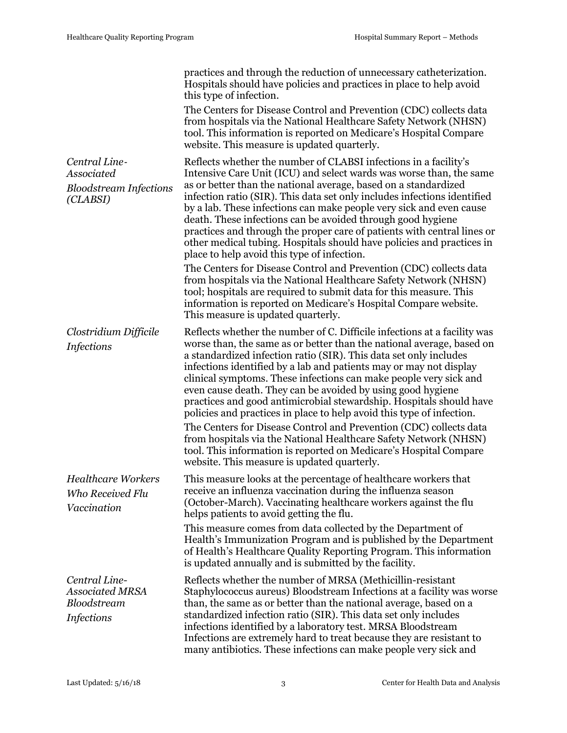|                                                                             | practices and through the reduction of unnecessary catheterization.<br>Hospitals should have policies and practices in place to help avoid<br>this type of infection.                                                                                                                                                                                                                                                                                                                                                                                                                                                           |
|-----------------------------------------------------------------------------|---------------------------------------------------------------------------------------------------------------------------------------------------------------------------------------------------------------------------------------------------------------------------------------------------------------------------------------------------------------------------------------------------------------------------------------------------------------------------------------------------------------------------------------------------------------------------------------------------------------------------------|
|                                                                             | The Centers for Disease Control and Prevention (CDC) collects data<br>from hospitals via the National Healthcare Safety Network (NHSN)<br>tool. This information is reported on Medicare's Hospital Compare<br>website. This measure is updated quarterly.                                                                                                                                                                                                                                                                                                                                                                      |
| Central Line-<br>Associated<br><b>Bloodstream Infections</b><br>(CLABSI)    | Reflects whether the number of CLABSI infections in a facility's<br>Intensive Care Unit (ICU) and select wards was worse than, the same<br>as or better than the national average, based on a standardized<br>infection ratio (SIR). This data set only includes infections identified<br>by a lab. These infections can make people very sick and even cause<br>death. These infections can be avoided through good hygiene<br>practices and through the proper care of patients with central lines or<br>other medical tubing. Hospitals should have policies and practices in<br>place to help avoid this type of infection. |
|                                                                             | The Centers for Disease Control and Prevention (CDC) collects data<br>from hospitals via the National Healthcare Safety Network (NHSN)<br>tool; hospitals are required to submit data for this measure. This<br>information is reported on Medicare's Hospital Compare website.<br>This measure is updated quarterly.                                                                                                                                                                                                                                                                                                           |
| Clostridium Difficile<br><b>Infections</b>                                  | Reflects whether the number of C. Difficile infections at a facility was<br>worse than, the same as or better than the national average, based on<br>a standardized infection ratio (SIR). This data set only includes<br>infections identified by a lab and patients may or may not display<br>clinical symptoms. These infections can make people very sick and<br>even cause death. They can be avoided by using good hygiene<br>practices and good antimicrobial stewardship. Hospitals should have<br>policies and practices in place to help avoid this type of infection.                                                |
|                                                                             | The Centers for Disease Control and Prevention (CDC) collects data<br>from hospitals via the National Healthcare Safety Network (NHSN)<br>tool. This information is reported on Medicare's Hospital Compare<br>website. This measure is updated quarterly.                                                                                                                                                                                                                                                                                                                                                                      |
| <b>Healthcare Workers</b><br>Who Received Flu<br>Vaccination                | This measure looks at the percentage of healthcare workers that<br>receive an influenza vaccination during the influenza season<br>(October-March). Vaccinating healthcare workers against the flu<br>helps patients to avoid getting the flu.                                                                                                                                                                                                                                                                                                                                                                                  |
|                                                                             | This measure comes from data collected by the Department of<br>Health's Immunization Program and is published by the Department<br>of Health's Healthcare Quality Reporting Program. This information<br>is updated annually and is submitted by the facility.                                                                                                                                                                                                                                                                                                                                                                  |
| Central Line-<br><b>Associated MRSA</b><br>Bloodstream<br><b>Infections</b> | Reflects whether the number of MRSA (Methicillin-resistant<br>Staphylococcus aureus) Bloodstream Infections at a facility was worse<br>than, the same as or better than the national average, based on a<br>standardized infection ratio (SIR). This data set only includes<br>infections identified by a laboratory test. MRSA Bloodstream<br>Infections are extremely hard to treat because they are resistant to<br>many antibiotics. These infections can make people very sick and                                                                                                                                         |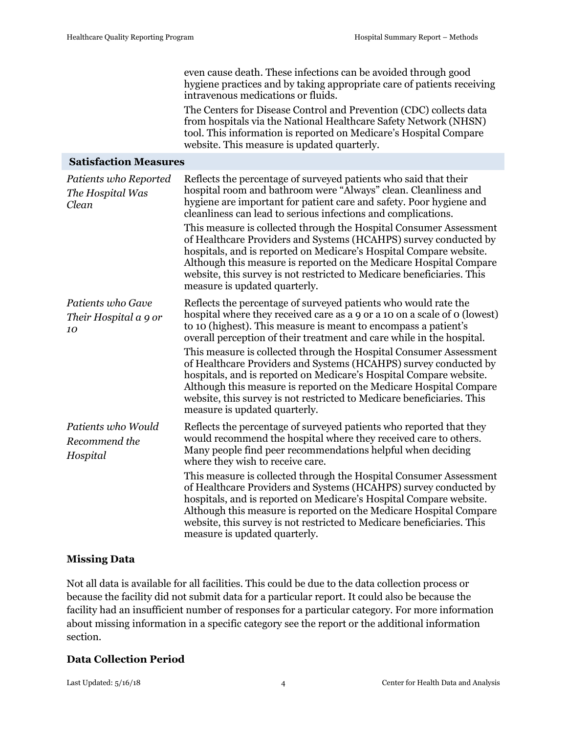even cause death. These infections can be avoided through good hygiene practices and by taking appropriate care of patients receiving intravenous medications or fluids.

The Centers for Disease Control and Prevention (CDC) collects data from hospitals via the National Healthcare Safety Network (NHSN) tool. This information is reported on Medicare's Hospital Compare website. This measure is updated quarterly.

### **Satisfaction Measures**

| Patients who Reported<br>The Hospital Was<br>Clean | Reflects the percentage of surveyed patients who said that their<br>hospital room and bathroom were "Always" clean. Cleanliness and<br>hygiene are important for patient care and safety. Poor hygiene and<br>cleanliness can lead to serious infections and complications.                                                                                                                   |
|----------------------------------------------------|-----------------------------------------------------------------------------------------------------------------------------------------------------------------------------------------------------------------------------------------------------------------------------------------------------------------------------------------------------------------------------------------------|
|                                                    | This measure is collected through the Hospital Consumer Assessment<br>of Healthcare Providers and Systems (HCAHPS) survey conducted by<br>hospitals, and is reported on Medicare's Hospital Compare website.<br>Although this measure is reported on the Medicare Hospital Compare<br>website, this survey is not restricted to Medicare beneficiaries. This<br>measure is updated quarterly. |
| Patients who Gave<br>Their Hospital a 9 or<br>10   | Reflects the percentage of surveyed patients who would rate the<br>hospital where they received care as a 9 or a 10 on a scale of 0 (lowest)<br>to 10 (highest). This measure is meant to encompass a patient's<br>overall perception of their treatment and care while in the hospital.                                                                                                      |
|                                                    | This measure is collected through the Hospital Consumer Assessment<br>of Healthcare Providers and Systems (HCAHPS) survey conducted by<br>hospitals, and is reported on Medicare's Hospital Compare website.<br>Although this measure is reported on the Medicare Hospital Compare<br>website, this survey is not restricted to Medicare beneficiaries. This<br>measure is updated quarterly. |
| Patients who Would<br>Recommend the<br>Hospital    | Reflects the percentage of surveyed patients who reported that they<br>would recommend the hospital where they received care to others.<br>Many people find peer recommendations helpful when deciding<br>where they wish to receive care.                                                                                                                                                    |
|                                                    | This measure is collected through the Hospital Consumer Assessment<br>of Healthcare Providers and Systems (HCAHPS) survey conducted by<br>hospitals, and is reported on Medicare's Hospital Compare website.<br>Although this measure is reported on the Medicare Hospital Compare<br>website, this survey is not restricted to Medicare beneficiaries. This<br>measure is updated quarterly. |

### **Missing Data**

Not all data is available for all facilities. This could be due to the data collection process or because the facility did not submit data for a particular report. It could also be because the facility had an insufficient number of responses for a particular category. For more information about missing information in a specific category see the report or the additional information section.

### **Data Collection Period**